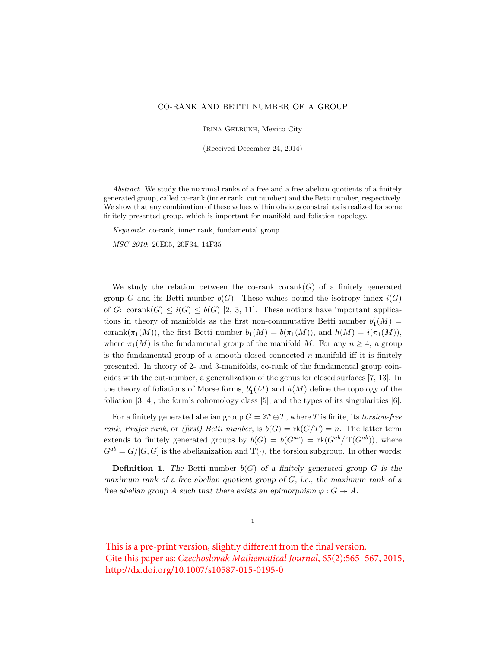## CO-RANK AND BETTI NUMBER OF A GROUP

Irina Gelbukh, Mexico City

(Received December 24, 2014)

Abstract. We study the maximal ranks of a free and a free abelian quotients of a finitely generated group, called co-rank (inner rank, cut number) and the Betti number, respectively. We show that any combination of these values within obvious constraints is realized for some finitely presented group, which is important for manifold and foliation topology.

Keywords: co-rank, inner rank, fundamental group

MSC 2010: 20E05, 20F34, 14F35

We study the relation between the co-rank corank( $G$ ) of a finitely generated group G and its Betti number  $b(G)$ . These values bound the isotropy index  $i(G)$ of G: corank $(G) \leq i(G) \leq b(G)$  [2, 3, 11]. These notions have important applications in theory of manifolds as the first non-commutative Betti number  $b'_1(M)$  = corank( $\pi_1(M)$ ), the first Betti number  $b_1(M) = b(\pi_1(M))$ , and  $h(M) = i(\pi_1(M))$ , where  $\pi_1(M)$  is the fundamental group of the manifold M. For any  $n \geq 4$ , a group is the fundamental group of a smooth closed connected  $n$ -manifold iff it is finitely presented. In theory of 2- and 3-manifolds, co-rank of the fundamental group coincides with the cut-number, a generalization of the genus for closed surfaces [7, 13]. In the theory of foliations of Morse forms,  $b'_1(M)$  and  $h(M)$  define the topology of the foliation [3, 4], the form's cohomology class [5], and the types of its singularities [6].

For a finitely generated abelian group  $G = \mathbb{Z}^n \oplus T$ , where T is finite, its torsion-free rank, Prüfer rank, or (first) Betti number, is  $b(G) = \text{rk}(G/T) = n$ . The latter term extends to finitely generated groups by  $b(G) = b(G^{ab}) = \text{rk}(G^{ab}/T(G^{ab}))$ , where  $G^{ab} = G/[G, G]$  is the abelianization and  $T(\cdot)$ , the torsion subgroup. In other words:

**Definition 1.** The Betti number  $b(G)$  of a finitely generated group G is the maximum rank of a free abelian quotient group of G, i.e., the maximum rank of a free abelian group A such that there exists an epimorphism  $\varphi : G \twoheadrightarrow A$ .

1

This is a pre-print version, slightly different from the final version. Cite this paper as: *Czechoslovak Mathematical Journal*, 65(2):565–567, 2015, http://dx.doi.org/10.1007/s10587-015-0195-0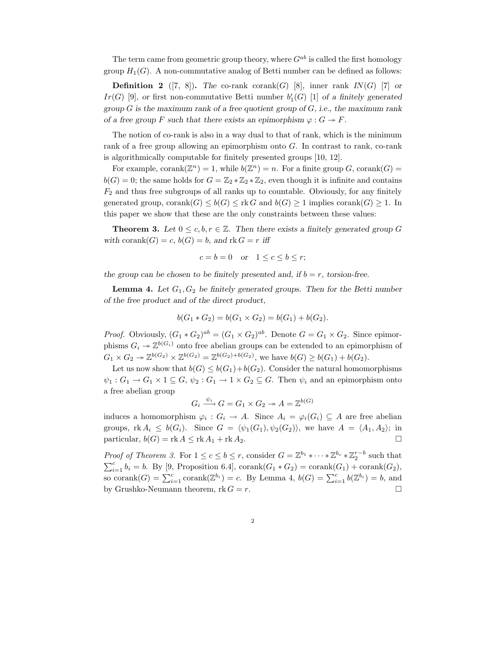The term came from geometric group theory, where  $G^{ab}$  is called the first homology group  $H_1(G)$ . A non-commutative analog of Betti number can be defined as follows:

**Definition 2** ([7, 8]). The co-rank corank(G) [8], inner rank  $IN(G)$  [7] or Ir(G) [9], or first non-commutative Betti number  $b'_{1}(G)$  [1] of a finitely generated group  $G$  is the maximum rank of a free quotient group of  $G$ , i.e., the maximum rank of a free group F such that there exists an epimorphism  $\varphi : G \twoheadrightarrow F$ .

The notion of co-rank is also in a way dual to that of rank, which is the minimum rank of a free group allowing an epimorphism onto  $G$ . In contrast to rank, co-rank is algorithmically computable for finitely presented groups [10, 12].

For example, corank $(\mathbb{Z}^n) = 1$ , while  $b(\mathbb{Z}^n) = n$ . For a finite group G, corank $(G) =$  $b(G) = 0$ ; the same holds for  $G = \mathbb{Z}_2 * \mathbb{Z}_2 * \mathbb{Z}_2$ , even though it is infinite and contains  $F_2$  and thus free subgroups of all ranks up to countable. Obviously, for any finitely generated group, corank $(G) \leq b(G) \leq$ rk G and  $b(G) \geq 1$  implies corank $(G) \geq 1$ . In this paper we show that these are the only constraints between these values:

**Theorem 3.** Let  $0 \leq c, b, r \in \mathbb{Z}$ . Then there exists a finitely generated group G with corank $(G) = c$ ,  $b(G) = b$ , and  $rk G = r$  iff

$$
c = b = 0 \quad \text{or} \quad 1 \le c \le b \le r;
$$

the group can be chosen to be finitely presented and, if  $b = r$ , torsion-free.

**Lemma 4.** Let  $G_1, G_2$  be finitely generated groups. Then for the Betti number of the free product and of the direct product,

$$
b(G_1 * G_2) = b(G_1 \times G_2) = b(G_1) + b(G_2).
$$

*Proof.* Obviously,  $(G_1 * G_2)^{ab} = (G_1 \times G_2)^{ab}$ . Denote  $G = G_1 \times G_2$ . Since epimorphisms  $G_i \to \mathbb{Z}^{b(G_i)}$  onto free abelian groups can be extended to an epimorphism of  $G_1 \times G_2 \to \mathbb{Z}^{b(G_2)} \times \mathbb{Z}^{b(G_2)} = \mathbb{Z}^{b(G_2)+b(G_2)}$ , we have  $b(G) \geq b(G_1)+b(G_2)$ .

Let us now show that  $b(G) \leq b(G_1)+b(G_2)$ . Consider the natural homomorphisms  $\psi_1: G_1 \to G_1 \times 1 \subseteq G, \psi_2: G_1 \to 1 \times G_2 \subseteq G$ . Then  $\psi_i$  and an epimorphism onto a free abelian group

$$
G_i \xrightarrow{\psi_i} G = G_1 \times G_2 \twoheadrightarrow A = \mathbb{Z}^{b(G)}
$$

induces a homomorphism  $\varphi_i: G_i \to A$ . Since  $A_i = \varphi_i(G_i) \subseteq A$  are free abelian groups,  $rk A_i \leq b(G_i)$ . Since  $G = \langle \psi_1(G_1), \psi_2(G_2) \rangle$ , we have  $A = \langle A_1, A_2 \rangle$ ; in particular,  $b(G) = \text{rk } A \leq \text{rk } A_1 + \text{rk } A_2.$ 

*Proof of Theorem 3.* For  $1 \leq c \leq b \leq r$ , consider  $G = \mathbb{Z}^{b_1} * \cdots * \mathbb{Z}^{b_c} * \mathbb{Z}_2^{r-b}$  such that  $\sum_{i=1}^{c} b_i = b$ . By [9, Proposition 6.4], corank $(G_1 * G_2) = \text{corank}(G_1) + \text{corank}(G_2)$ , so corank $(G) = \sum_{i=1}^{c} \text{corank}(\mathbb{Z}^{b_i}) = c$ . By Lemma 4,  $b(G) = \sum_{i=1}^{c} b(\mathbb{Z}^{b_i}) = b$ , and by Grushko-Neumann theorem, rk  $G = r$ .

2